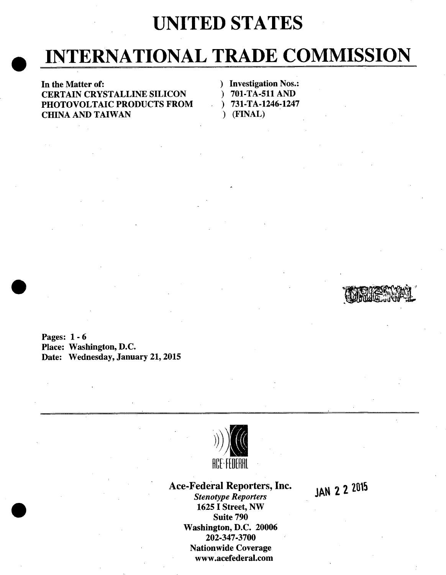## **UNITED STATES**

# INTERNATIONAL TRADE COMMISSION

In the Matter of:  $\qquad \qquad$  ) Investigation Nos.: CERTAIN CRYSTALLINE SILICON ) 701-TA-511AND PHOTOVOLTAIC PRODUCTS FROM  $\qquad$  ) 731-TA-1246-1247 CHINA AND TAIWAN ) (FINAL)

Pages: 1 - 6 Place: Washington, D.C. Date: Wednesday, January 21, 2015



### Ace-Federal Reporters, Inc. 1AN 2 2 2015

**Stenotype Reporters** 1625 I Street, NW , Suite 790 Washington, D.C. 20006 202-347-3700 Nationwide Coverage www.acefederaI.com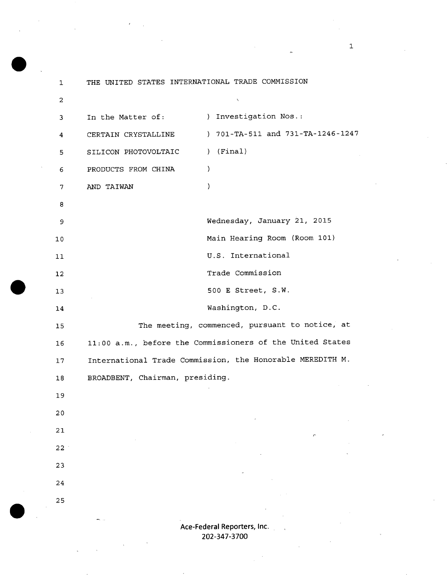| 1              | THE UNITED STATES INTERNATIONAL TRADE COMMISSION |                                                           |
|----------------|--------------------------------------------------|-----------------------------------------------------------|
| $\overline{a}$ |                                                  | $\chi$                                                    |
| 3              | In the Matter of:                                | ) Investigation Nos.:                                     |
| 4              | CERTAIN CRYSTALLINE                              | ) 701-TA-511 and 731-TA-1246-1247                         |
| 5              | SILICON PHOTOVOLTAIC                             | $)$ (Final)                                               |
| 6              | PRODUCTS FROM CHINA                              | $\mathcal{F}$                                             |
| 7              | AND TAIWAN                                       | $\lambda$                                                 |
| 8              |                                                  |                                                           |
| 9              |                                                  | Wednesday, January 21, 2015                               |
| 10             |                                                  | Main Hearing Room (Room 101)                              |
| 11             |                                                  | U.S. International                                        |
| 12             |                                                  | Trade Commission                                          |
| 13             |                                                  | 500 E Street, S.W.                                        |
| 14             |                                                  | Washington, D.C.                                          |
| 15             |                                                  | The meeting, commenced, pursuant to notice, at            |
| 16             |                                                  | 11:00 a.m., before the Commissioners of the United States |
| 17             |                                                  | International Trade Commission, the Honorable MEREDITH M. |
| 18             | BROADBENT, Chairman, presiding.                  |                                                           |
| 19             |                                                  |                                                           |
| 20             |                                                  |                                                           |
| 21             |                                                  |                                                           |
| 22             |                                                  |                                                           |
| 23             |                                                  |                                                           |
| 24             |                                                  |                                                           |
| 25             |                                                  |                                                           |
|                |                                                  |                                                           |

Ace-Federal Reporters, Inc. 202-347-3700

 $\bar{a}$ 

1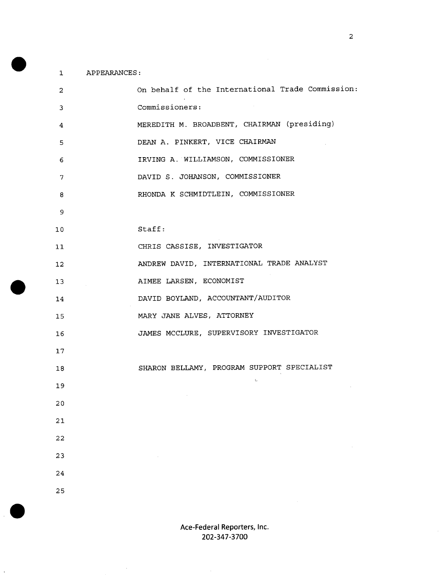#### $\mathbf{1}$ APPEARANCES

| 2  | On behalf of the International Trade Commission: |
|----|--------------------------------------------------|
| 3  | Commissioners:                                   |
| 4  | MEREDITH M. BROADBENT, CHAIRMAN (presiding)      |
| 5  | DEAN A. PINKERT, VICE CHAIRMAN                   |
| 6  | IRVING A. WILLIAMSON, COMMISSIONER               |
| 7  | DAVID S. JOHANSON, COMMISSIONER                  |
| 8  | RHONDA K SCHMIDTLEIN, COMMISSIONER               |
| 9  |                                                  |
| 10 | Staff:                                           |
| 11 | CHRIS CASSISE, INVESTIGATOR                      |
| 12 | ANDREW DAVID, INTERNATIONAL TRADE ANALYST        |
| 13 | AIMEE LARSEN, ECONOMIST                          |
| 14 | DAVID BOYLAND, ACCOUNTANT/AUDITOR                |
| 15 | MARY JANE ALVES, ATTORNEY                        |
| 16 | JAMES MCCLURE, SUPERVISORY INVESTIGATOR          |
| 17 |                                                  |
| 18 | SHARON BELLAMY, PROGRAM SUPPORT SPECIALIST       |
| 19 |                                                  |
| 20 |                                                  |
| 21 |                                                  |
| 22 |                                                  |
| 23 |                                                  |
| 24 |                                                  |
| 25 |                                                  |

 $\bar{\gamma}$ 

 $\ddot{\phantom{0}}$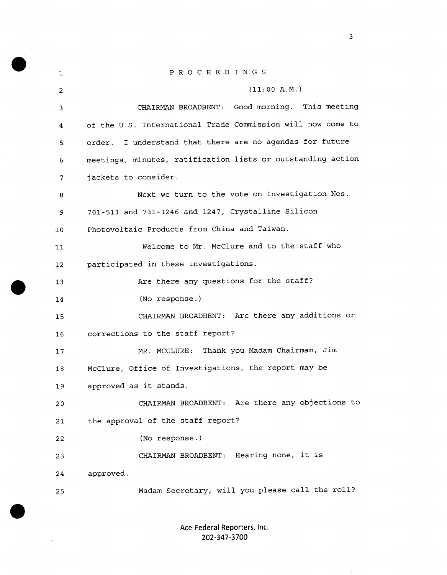| 1               | P R O C E E D I N G S                                       |  |  |
|-----------------|-------------------------------------------------------------|--|--|
| 2               | (11:00 A.M.)                                                |  |  |
| 3               | CHAIRMAN BROADBENT: Good morning. This meeting              |  |  |
| 4               | of the U.S. International Trade Commission will now come to |  |  |
| 5               | order. I understand that there are no agendas for future    |  |  |
| 6               | meetings, minutes, ratification lists or outstanding action |  |  |
| 7               | jackets to consider.                                        |  |  |
| 8               | Next we turn to the vote on Investigation Nos.              |  |  |
| 9               | 701-511 and 731-1246 and 1247, Crystalline Silicon          |  |  |
| 10 <sub>1</sub> | Photovoltaic Products from China and Taiwan.                |  |  |
| 11              | Welcome to Mr. McClure and to the staff who                 |  |  |
| 12 <sub>1</sub> | participated in these investigations.                       |  |  |
| 13              | Are there any questions for the staff?                      |  |  |
| 14              | (No response.)                                              |  |  |
| 15              | CHAIRMAN BROADBENT: Are there any additions or              |  |  |
| 16              | corrections to the staff report?                            |  |  |
| 17              | MR. MCCLURE: Thank you Madam Chairman, Jim                  |  |  |
| 18              | McClure, Office of Investigations, the report may be        |  |  |
| 19              | approved as it stands.                                      |  |  |
| 20              | CHAIRMAN BROADBENT: Are there any objections to             |  |  |
| 21              | the approval of the staff report?                           |  |  |
| 22              | (No response.)                                              |  |  |
| 23              | CHAIRMAN BROADBENT: Hearing none, it is                     |  |  |
| 24              | approved.                                                   |  |  |
| 25              | Madam Secretary, will you please call the roll?             |  |  |

 $\bar{\mathcal{A}}$ 

 $\sim$ 

 $\bar{\lambda}$ 

Ace-Federal Reporters, Inc. 202-347-3700

 $\sim$   $\sim$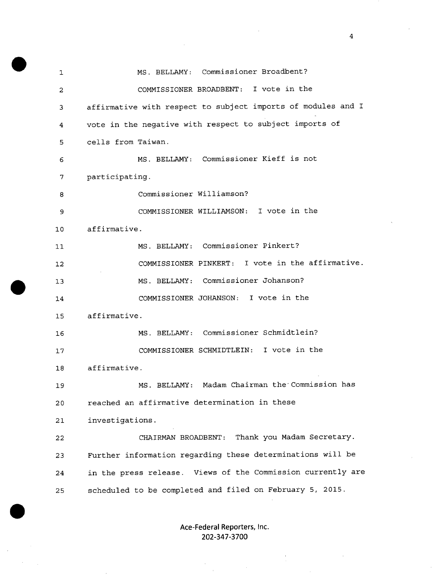MS. BELLAMY: Commissioner Broadbent?  $\mathbf{1}$ COMMISSIONER BROADBENT: I vote in the  $\overline{2}$ affirmative with respect to subject imports of modules and I  $\overline{3}$ vote in the negative with respect to subject imports of  $\overline{4}$ 5 cells from Taiwan. MS. BELLAMY: Commissioner Kieff is not 6  $\overline{7}$ participating. Commissioner Williamson?  $\mathbf{a}$ COMMISSIONER WILLIAMSON: I vote in the 9 affirmative. 10 MS. BELLAMY: Commissioner Pinkert?  $11$ COMMISSIONER PINKERT: I vote in the affirmative.  $12$ MS. BELLAMY: Commissioner Johanson?  $13$ COMMISSIONER JOHANSON: I vote in the 14 affirmative. 15 MS. BELLAMY: Commissioner Schmidtlein? 16 COMMISSIONER SCHMIDTLEIN: I vote in the  $17$ affirmative. 18 MS. BELLAMY: Madam Chairman the Commission has 19 reached an affirmative determination in these  $20$  $21$ investigations. CHAIRMAN BROADBENT: Thank you Madam Secretary. 22 Further information regarding these determinations will be 23 in the press release. Views of the Commission currently are 24 scheduled to be completed and filed on February 5, 2015. 25

> Ace-Federal Reporters, Inc. 202-347-3700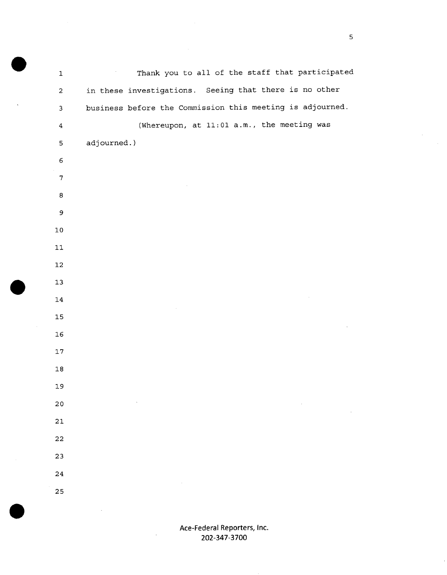Thankyou to all of the staff that participated  $\mathbf{1}$  $\sim$ in these investigations. Seeing that there is no other  $\overline{2}$ business before the Commission this meeting is adjourned.  $\overline{3}$ (Whereupon, at 11:01 a.m., the meeting was  $\overline{\mathbf{4}}$ adjourned.) 5  $\epsilon$  $\overline{7}$ 8  $\overline{9}$  $10$  $11$  $12$  $13$ 14 15 16  $17$ 18 19  $20$  $21$ 22 23 24 25